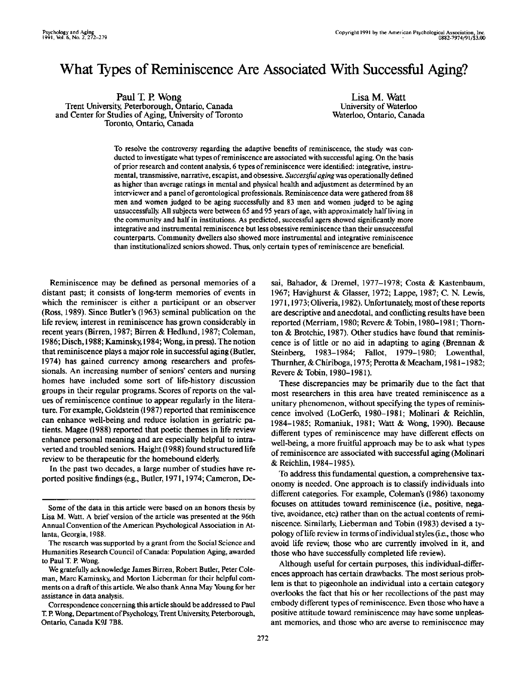# What Types of Reminiscence Are Associated With Successful Aging?

Paul T. P. Wong Trent University, Peterborough, Ontario, Canada and Center for Studies of Aging, University of Toronto Toronto, Ontario, Canada

Lisa M. Watt University of Waterloo Waterloo, Ontario, Canada

To resolve the controversy regarding the adaptive benefits of reminiscence, the study was conducted to investigate what types of reminiscence are associated with successful aging. On the basis of prior research and content analysis, 6 types of reminiscence were identified: integrative, instrumental, transmissive, narrative, escapist, and obsessive. Successful aging was operationally defined as higher than average ratings in mental and physical health and adjustment as determined by an interviewer and a panel of gerontological professionals. Reminiscence data were gathered from 88 men and women judged to be aging successfully and 83 men and women judged to be aging unsuccessfully. All subjects were between 65 and 95 years of age, with approximately half living in the community and half in institutions. As predicted, successful agers showed significantly more integrative and instrumental reminiscence but less obsessive reminiscence than their unsuccessful counterparts. Community dwellers also showed more instrumental and integrative reminiscence than institutionalized seniors showed. Thus, only certain types of reminiscence are beneficial.

Reminiscence may be defined as personal memories of a distant past; it consists of long-term memories of events in which the reminiscer is either a participant or an observer (Ross, 1989). Since Butler's (1963) seminal publication on the life review, interest in reminiscence has grown considerably in recent years (Birren, 1987; Birren & Hedlund, 1987; Coleman, 1986; Disch, 1988; Kaminsky, 1984; Wong, in press). The notion that reminiscence plays a major role in successful aging (Butler, 1974) has gained currency among researchers and professionals. An increasing number of seniors' centers and nursing homes have included some sort of life-history discussion groups in their regular programs. Scores of reports on the values of reminiscence continue to appear regularly in the literature. For example, Goldstein (1987) reported that reminiscence can enhance well-being and reduce isolation in geriatric patients. Magee (1988) reported that poetic themes in life review enhance personal meaning and are especially helpful to intraverted and troubled seniors. Haight (1988) found structured life review to be therapeutic for the homebound elderly.

In the past two decades, a large number of studies have reported positive findings (e.g., Butler, 1971, 1974; Cameron, Desai, Bahador, & Dremel, 1977-1978; Costa & Kastenbaum, 1967; Havighurst & Glasser, 1972; Lappe, 1987; C. N. Lewis, 1971,1973; Oliveria, 1982). Unfortunately, most of these reports are descriptive and anecdotal, and conflicting results have been reported (Merriam, 1980; Revere & Tobin, 1980-1981; Thornton & Brotchie, 1987). Other studies have found that reminiscence is of little or no aid in adapting to aging (Brennan & Steinberg, 1983-1984; Fallot, 1979-1980; Lowenthal, Thurnher, & Chiriboga, 1975; Perotta & Meacham, 1981-1982; Revere & Tobin, 1980-1981).

These discrepancies may be primarily due to the fact that most researchers in this area have treated reminiscence as a unitary phenomenon, without specifying the types of reminiscence involved (LoGerfo, 1980-1981; Molinari & Reichlin, 1984-1985; Romaniuk, 1981; Watt & Wong, 1990). Because different types of reminiscence may have different effects on well-being, a more fruitful approach may be to ask what types of reminiscence are associated with successful aging (Molinari & Reichlin, 1984-1985).

To address this fundamental question, a comprehensive taxonomy is needed. One approach is to classify individuals into different categories. For example, Coleman's (1986) taxonomy focuses on attitudes toward reminiscence (i.e., positive, negative, avoidance, etc.) rather than on the actual contents of reminiscence. Similarly, Lieberman and Tobin (1983) devised a typology oflife review in terms of individual styles *(is.,* those who avoid life review, those who are currently involved in it, and those who have successfully completed life review).

Although useful for certain purposes, this individual-differences approach has certain drawbacks. The most serious problem is that to pigeonhole an individual into a certain category overlooks the fact that his or her recollections of the past may embody different types of reminiscence. Even those who have a positive attitude toward reminiscence may have some unpleasant memories, and those who are averse to reminiscence may

Some of the data in this article were based on an honors thesis by Lisa M. Watt. A brief version of the article was presented at the 96th Annual Convention of the American Psychological Association in Atlanta, Georgia, 1988.

The research was supported by a grant from the Social Science and Humanities Research Council of Canada: Population Aging, awarded to Paul T. P. Wong.

We gratefully acknowledge James Birren, Robert Butler, Peter Coleman, Marc Kaminsky, and Morton Lieberman for their helpful comments on a draft of this article. We also thank Anna May Young for her assistance in data analysis.

Correspondence concerning this article should be addressed to Paul T. P. Wong, Departmentof Psychology, Trent University, Peterborough, Ontario, Canada K9J 7B8.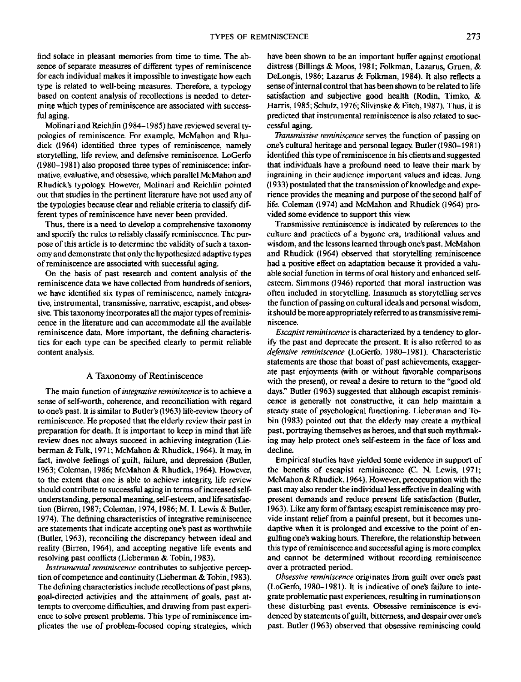find solace in pleasant memories from time to time. The absence of separate measures of different types of reminiscence for each individual makes it impossible to investigate how each type is related to well-being measures. Therefore, a typology based on content analysis of recollections is needed to determine which types of reminiscence are associated with successful aging.

Molinari and Reichlin (1984-1985) have reviewed several typologies of reminiscence. For example, McMahon and Rhudick (1964) identified three types of reminiscence, namely storytelling, life review, and defensive reminiscence. LoGerfo (1980-1981) also proposed three types of reminiscence: informative, evaluative, and obsessive, which parallel McMahon and Rhudick's typology. However, Molinari and Reichlin pointed out that studies in the pertinent literature have not used any of the typologies because clear and reliable criteria to classify different types of reminiscence have never been provided.

Thus, there is a need to develop a comprehensive taxonomy and specify the rules to reliably classify reminiscence. The purpose of this article is to determine the validity of such a taxonomy and demonstrate that only the hypothesized adaptive types of reminiscence are associated with successful aging.

On the basis of past research and content analysis of the reminiscence data we have collected from hundreds of seniors, we have identified six types of reminiscence, namely integrative, instrumental, transmissive, narrative, escapist, and obsessive. This taxonomy incorporates all the major types of reminiscence in the literature and can accommodate all the available reminiscence data. More important, the defining characteristics for each type can be specified clearly to permit reliable content analysis.

# A Taxonomy of Reminiscence

The main function of *integrative reminiscence* is to achieve a sense of self-worth, coherence, and reconciliation with regard to one's past. It is similar to Butler's (1963) life-review theory of reminiscence. He proposed that the elderly review their past in preparation for death. It is important to keep in mind that life review does not always succeed in achieving integration (Lieberman & Falk, 1971; McMahon & Rhudick, 1964). It may, in fact, involve feelings of guilt, failure, and depression (Butler, 1963; Coleman, 1986; McMahon & Rhudick, 1964). However, to the extent that one is able to achieve integrity, life review should contribute to successful aging in terms of increased selfunderstanding, personal meaning, self-esteem, and life satisfaction (Birren, 1987; Coleman, 1974,1986; M. I. Lewis & Butler, 1974). The defining characteristics of integrative reminiscence are statements that indicate accepting one's past as worthwhile (Butler, 1963), reconciling the discrepancy between ideal and reality (Birren, 1964), and accepting negative life events and resolving past conflicts (Lieberman & Tobin, 1983).

*Instrumental reminiscence* contributes to subjective perception of competence and continuity (Lieberman & Tobin, 1983). The defining characteristics include recollections of past plans, goal-directed activities and the attainment of goals, past attempts to overcome difficulties, and drawing from past experience to solve present problems. This type of reminiscence implicates the use of problem-focused coping strategies, which have been shown to be an important buffer against emotional distress (Billings & Moos, 1981; Folkman, Lazarus, Gruen, & DeLongis, 1986; Lazarus & Folkman, 1984). It also reflects a sense of internal control that has been shown to be related to life satisfaction and subjective good health (Rodin, Timko, & Harris, 1985; Schulz, 1976; Slivinske & Fitch, 1987). Thus, it is predicted that instrumental reminiscence is also related to successful aging.

*Transmissive reminiscence* serves the function of passing on one's cultural heritage and personal legacy. Butler (1980-1981) identified this type of reminiscence in his clients and suggested that individuals have a profound need to leave their mark by ingraining in their audience important values and ideas. Jung (1933) postulated that the transmission of knowledge and experience provides the meaning and purpose of the second half of life. Coleman (1974) and McMahon and Rhudick (1964) provided some evidence to support this view.

Transmissive reminiscence is indicated by references to the culture and practices of a bygone era, traditional values and wisdom, and the lessons learned through one's past. McMahon and Rhudick (1964) observed that storytelling reminiscence had a positive effect on adaptation because it provided a valuable social function in terms of oral history and enhanced selfesteem. Simmons (1946) reported that moral instruction was often included in storytelling. Inasmuch as storytelling serves the function of passing on cultural ideals and personal wisdom, it should be more appropriately referred to as transmissive reminiscence.

*Escapist reminiscence* is characterized by a tendency to glorify the past and deprecate the present. It is also referred to as *defensive reminiscence* (LoGerfo, 1980-1981). Characteristic statements are those that boast of past achievements, exaggerate past enjoyments (with or without favorable comparisons with the present), or reveal a desire to return to the "good old days." Butler (1963) suggested that although escapist reminiscence is generally not constructive, it can help maintain a steady state of psychological functioning. Lieberman and Tobin (1983) pointed out that the elderly may create a mythical past, portraying themselves as heroes, and that such mythmaking may help protect one's self-esteem in the face of loss and decline.

Empirical studies have yielded some evidence in support of the benefits of escapist reminiscence (C. N. Lewis, 1971; McMahon & Rhudick, 1964). However, preoccupation with the past may also render the individual less effective in dealing with present demands and reduce present life satisfaction (Butler, 1963). Like any form of fantasy, escapist reminiscence may provide instant relief from a painful present, but it becomes unadaptive when it is prolonged and excessive to the point of engulfing one's waking hours. Therefore, the relationship between this type of reminiscence and successful aging is more complex and cannot be determined without recording reminiscence over a protracted period.

*Obsessive reminiscence* originates from guilt over one's past (LoGerfo, 1980-1981). It is indicative of one's failure to integrate problematic past experiences, resulting in ruminations on these disturbing past events. Obsessive reminiscence is evidenced by statements of guilt, bitterness, and despair over one's past. Butler (1963) observed that obsessive reminiscing could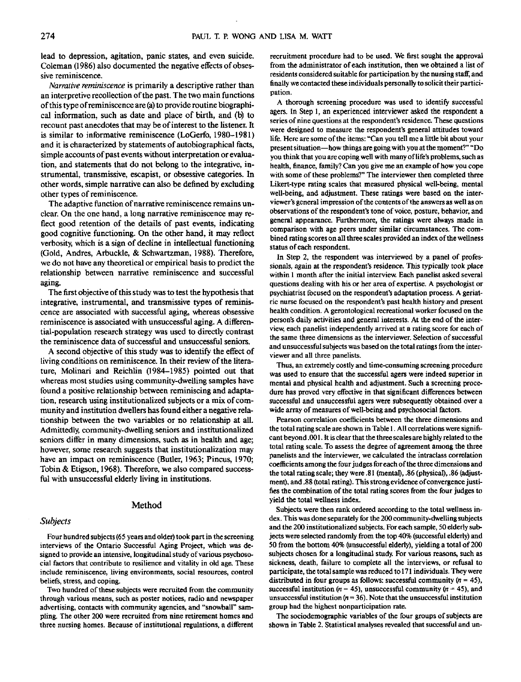lead to depression, agitation, panic states, and even suicide. Coleman (1986) also documented the negative effects of obsessive reminiscence.

*Narrative reminiscence* is primarily a descriptive rather than an interpretive recollection of the past. The two main functions of this type of reminiscence are (a) to provide routine biographical information, such as date and place of birth, and (b) to recount past anecdotes that may be of interest to the listener. It is similar to informative reminiscence (LoGerfo, 1980-1981) and it is characterized by statements of autobiographical facts, simple accounts of past events without interpretation or evaluation, and statements that do not belong to the integrative, instrumental, transmissive, escapist, or obsessive categories. In other words, simple narrative can also be denned by excluding other types of reminiscence.

The adaptive function of narrative reminiscence remains unclear. On the one hand, a long narrative reminiscence may reflect good retention of the details of past events, indicating good cognitive functioning. On the other hand, it may reflect verbosity, which is a sign of decline in intellectual functioning (Gold, Andres, Arbuckle, & Schwartzman, 1988). Therefore, we do not have any theoretical or empirical basis to predict the relationship between narrative reminiscence and successful aging.

The first objective of this study was to test the hypothesis that integrative, instrumental, and transmissive types of reminiscence are associated with successful aging, whereas obsessive reminiscence is associated with unsuccessful aging. A differential-population research strategy was used to directly contrast the reminiscence data of successful and unsuccessful seniors.

A second objective of this study was to identify the effect of living conditions on reminiscence. In their review of the literature, Molinari and Reichlin (1984-1985) pointed out that whereas most studies using community-dwelling samples have found a positive relationship between reminiscing and adaptation, research using institutionalized subjects or a mix of community and institution dwellers has found either a negative relationship between the two variables or no relationship at all. Admittedly, community-dwelling seniors and institutionalized seniors differ in many dimensions, such as in health and age; however, some research suggests that institutionalization may have an impact on reminiscence (Butler, 1963; Pincus, 1970; Tobin & Etigson, 1968). Therefore, we also compared successful with unsuccessful elderly living in institutions.

#### Method

# *Subjects*

Four hundred subjects (65 years and older) took part in the screening interviews of the Ontario Successful Aging Project, which was designed to provide an intensive, longitudinal study of various psychosocial factors that contribute to resilience and vitality in old age. These include reminiscence, living environments, social resources, control beliefs, stress, and coping.

Two hundred of these subjects were recruited from the community through various means, such as poster notices, radio and newspaper advertising, contacts with community agencies, and "snowball" sampling. The other 200 were recruited from nine retirement homes and three nursing homes. Because of institutional regulations, a different recruitment procedure had to be used. We first sought the approval from the administrator of each institution, then we obtained a list of residents considered suitable for participation by the nursing staff, and finally we contacted these individuals personally to solicit their participation.

A thorough screening procedure was used to identify successful agers. In Step 1, an experienced interviewer asked the respondent a series of nine questions at the respondent's residence. These questions were designed to measure the respondent's general attitudes toward life. Here are some of the items: "Can you tell me a little bit about your present situation—how things are going with you at the moment?" "Do you think that you are coping well with many of life's problems, such as health, finance, family? Can you give me an example of how you cope with some of these problems?" The interviewer then completed three Likert-type rating scales that measured physical well-being, mental well-being, and adjustment. These ratings were based on the interviewer's general impression of the contents of the answers as well as on observations of the respondent's tone of voice, posture, behavior, and general appearance. Furthermore, the ratings were always made in comparison with age peers under similar circumstances. The combined rating scores on all three scales provided an index of the wellness status of each respondent.

In Step 2, the respondent was interviewed by a panel of professionals, again at the respondent's residence. This typically took place within 1 month after the initial interview. Each panelist asked several questions dealing with his or her area of expertise. A psychologist or psychiatrist focused on the respondent's adaptation process. A geriatric nurse focused on the respondent's past health history and present health condition. A gerontological recreational worker focused on the person's daily activities and general interests. At the end of the interview, each panelist independently arrived at a rating score for each of the same three dimensions as the interviewer. Selection of successful and unsuccessful subjects was based on the total ratings from the interviewer and all three panelists.

Thus, an extremely costly and time-consuming screening procedure was used to ensure that the successful agers were indeed superior in mental and physical health and adjustment. Such a screening procedure has proved very effective in that significant differences between successful and unsuccessful agers were subsequently obtained over a wide array of measures of well-being and psychosocial factors.

Pearson correlation coefficients between the three dimensions and the total rating scale are shown in Table 1. All correlations were significant beyond .001. It is clear that the three scales are highly related to the total rating scale. To assess the degree of agreement among the three panelists and the interviewer, we calculated the intraclass correlation coefficients among the four judges for each of the three dimensions and the total rating scale; they were .81 (mental), .86 (physical), .86 (adjustment), and .88 (total rating). This strong evidence of convergence justifies the combination of the total rating scores from the four judges to yield the total wellness index.

Subjects were then rank ordered according to the total wellness index. This was done separately for the 200 community-dwelling subjects and the 200 institutionalized subjects. For each sample, 50 elderly subjects were selected randomly from the top 40% (successful elderly) and 50 from the bottom 40% (unsuccessful elderly), yielding a total of 200 subjects chosen for a longitudinal study. For various reasons, such as sickness, death, failure to complete all the interviews, or refusal to participate, the total sample was reduced to 171 individuals. They were distributed in four groups as follows: successful community *(n =* 45), successful institution ( $n = 45$ ), unsuccessful community ( $n = 45$ ), and unsuccessful institution  $(n = 36)$ . Note that the unsuccessful institution group had the highest nonparticipation rate.

The sociodemographic variables of the four groups of subjects are shown in Table 2. Statistical analyses revealed that successful and un-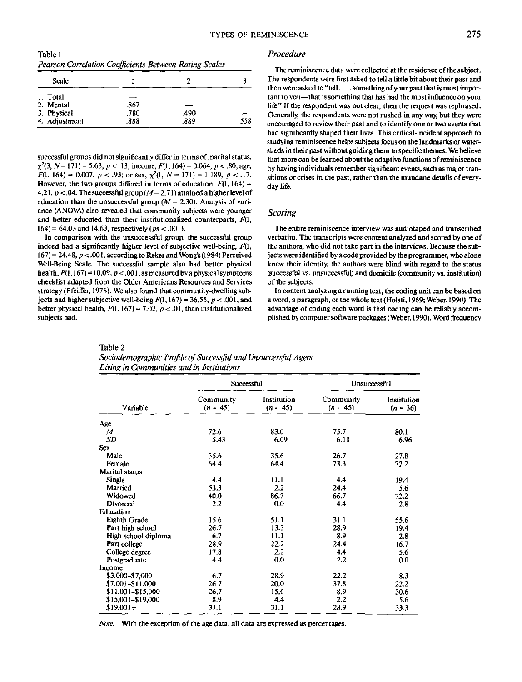Table 1 *Pearson Correlation Coefficients Between Rating Scales*

| Scale         |      | 2                        |      |
|---------------|------|--------------------------|------|
| 1. Total      |      |                          |      |
| 2. Mental     | .867 | $\overline{\phantom{a}}$ |      |
| 3. Physical   | .780 | .490                     |      |
| 4. Adjustment | .888 | .889                     | .558 |

successful groups did not significantly differ in termsof marital status, X 2 (3, *N=* 171) = 5.63, *p <* .13; income, *F(l,* 164)= 0.064, *p* <.80;age,  $F(1, 164) = 0.007, p < .93$ ; or sex,  $\chi^2(1, N = 171) = 1.189, p < .17$ . However, the two groups differed in terms of education,  $F(1, 164) =$ 4.21,  $p < 0.04$ . The successful group ( $M = 2.71$ ) attained a higher level of education than the unsuccessful group ( $M = 2.30$ ). Analysis of variance (ANOVA) also revealed that community subjects were younger and better educated than their institutionalized counterparts, *F(l,* 164) = 64.03 and 14.63, respectively ( $ps < .001$ ).

In comparison with the unsuccessful group, the successful group indeed had a significantly higher level of subjective well-being, *F(l,*  $167$  = 24.48,  $p < .001$ , according to Reker and Wong's (1984) Perceived Well-Being Scale. The successful sample also had better physical health,  $F(1, 167) = 10.09$ ,  $p < .001$ , as measured by a physical symptoms checklist adapted from the Older Americans Resources and Services strategy (Pfeiffer, 1976). We also found that community-dwelling subjects had higher subjective well-being *F(l,* 167) = 36.55, *p <* .001, and better physical health,  $F(1, 167) = 7.02$ ,  $p < .01$ , than institutionalized subjects had.

#### *Procedure*

The reminiscence data were collected at the residence of the subject. The respondents were first asked to tell a little bit about their past and then were asked to "tell. . . something of your past that is most important to you—that is something that has had the most influence on your life." If the respondent was not clear, then the request was rephrased. Generally, the respondents were not rushed in any way, but they were encouraged to review their past and to identify one or two events that had significantly shaped their lives. This critical-incident approach to studying reminiscence helps subjects focus on the landmarks or watersheds in their past without guiding them to specific themes. We believe that more can be learned about the adaptive functions of reminiscence by having individuals remember significant events, such as major transitions or crises in the past, rather than the mundane details of everyday life.

## *Scoring*

The entire reminiscence interview was audiotaped and transcribed verbatim. The transcripts were content analyzed and scored by one of the authors, who did not take part in the interviews. Because the subjects were identified by a code provided by the programmer, who alone knew their identity, the authors were blind with regard to the status (successful vs. unsuccessful) and domicile (community vs. institution) of the subjects.

In content analyzing a running text, the coding unit can be based on a word, a paragraph, or the whole text (Holsti, 1969; Weber, 1990). The advantage of coding each word is that coding can be reliably accomplished by computer software packages (Weber, 1990). Word frequency

#### Table *2*

| Sociodemographic Profile of Successful and Unsuccessful Agers |  |
|---------------------------------------------------------------|--|
| Living in Communities and in Institutions                     |  |

|                       | Successful              |                           | Unsuccessful            |                           |  |
|-----------------------|-------------------------|---------------------------|-------------------------|---------------------------|--|
| Variable              | Community<br>$(n = 45)$ | Institution<br>$(n = 45)$ | Community<br>$(n = 45)$ | Institution<br>$(n = 36)$ |  |
| Age                   |                         |                           |                         |                           |  |
| M                     | 72.6                    | 83.0                      | 75.7                    | 80.1                      |  |
| SD                    | 5.43                    | 6.09                      | 6.18                    | 6.96                      |  |
| Sex                   |                         |                           |                         |                           |  |
| Male                  | 35.6                    | 35.6                      | 26.7                    | 27.8                      |  |
| Female                | 64.4                    | 64.4                      | 73.3                    | 72.2                      |  |
| <b>Marital</b> status |                         |                           |                         |                           |  |
| Single                | 4.4                     | 11.1                      | 4.4                     | 19.4                      |  |
| Married               | 53.3                    | 2.2                       | 24.4                    | 5.6                       |  |
| Widowed               | 40.0                    | 86.7                      | 66.7                    | 72.2                      |  |
| Divorced              | 2.2                     | 0.0                       | 4.4                     | 2.8                       |  |
| Education             |                         |                           |                         |                           |  |
| Eighth Grade          | 15.6                    | 51.1                      | 31.1                    | 55.6                      |  |
| Part high school      | 26.7                    | 13.3                      | 28.9                    | 19.4                      |  |
| High school diploma   | 6.7                     | 11.1                      | 8.9                     | 2.8                       |  |
| Part college          | 28.9                    | 22.2                      | 24.4                    | 16.7                      |  |
| College degree        | 17.8                    | $2.2\,$                   | 4.4                     | 5.6                       |  |
| Postgraduate          | 4.4                     | 0.0                       | 2.2                     | 0.0                       |  |
| Income                |                         |                           |                         |                           |  |
| \$3,000-\$7,000       | 6.7                     | 28.9                      | 22.2                    | 8.3                       |  |
| $$7,001 - $11,000$    | 26.7                    | 20.0                      | 37.8                    | 22.2                      |  |
| \$11,001-\$15,000     | 26.7                    | 15.6                      | 8.9                     | 30.6                      |  |
| $$15,001 - $19,000$   | 8.9                     | 4,4                       | $2.2\,$                 | 5.6                       |  |
| $$19,001+$            | 31.1                    | 31.1                      | 28.9                    | 33.3                      |  |

*Note.* With the exception of the age data, all data are expressed as percentages.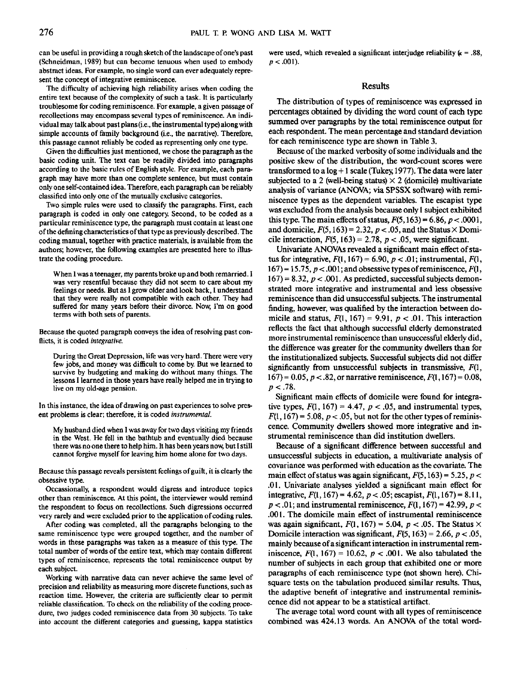can be useful in providing a rough sketch of the landscape of one's past (Schneidman, 1989) but can become tenuous when used to embody abstract ideas. For example, no single word can ever adequately represent the concept of integrative reminiscence.

The difficulty of achieving high reliability arises when coding the entire text because of the complexity of such a task. It is particularly troublesome for coding reminiscence. For example, a given passage of recollections may encompass several types of reminiscence. An individual may talk about past plans (i.e., the instrumental type) along with simple accounts of family background (i.e., the narrative). Therefore, this passage cannot reliably be coded as representing only one type.

Given the difficulties just mentioned, we chose the paragraph as the basic coding unit. The text can be readily divided into paragraphs according to the basic rules of English style. For example, each paragraph may have more than one complete sentence, but must contain only one self-contained idea. Therefore, each paragraph can be reliably classified into only one of the mutually exclusive categories.

Two simple rules were used to classify the paragraphs. First, each paragraph is coded in only one category. Second, to be coded as a particular reminiscence type, the paragraph must contain at least one of the defining characteristics of that type as previously described. The coding manual, together with practice materials, is available from the authors; however, the following examples are presented here to illustrate the coding procedure.

When 1 was a teenager, my parents broke up and both remarried. I was very resentful because they did not seem to care about my feelings or needs. But as 1 grow older and look back, I understand that they were really not compatible with each other. They had suffered for many years before their divorce. Now, I'm on good terms with both sets of parents.

Because the quoted paragraph conveys the idea of resolving past conflicts, it is coded *integrative.*

During the Great Depression, life was very hard. There were very few jobs, and money was difficult to come by. But we learned to survive by budgeting and making do without many things. The lessons I learned in those years have really helped me in trying to live on my old-age pension.

In this instance, the idea of drawing on past experiences to solve present problems is clear; therefore, it is coded *instrumental.*

My husband died when 1 was away for two days visiting my friends in the West. He fell in the bathtub and eventually died because there was no one there to help him. It has been years now, but I still cannot forgive myself for leaving him home alone for two days.

Because this passage reveals persistent feelings of guilt, it is clearly the obsessive type.

Occassionally, a respondent would digress and introduce topics other than reminiscence. At this point, the interviewer would remind the respondent to focus on recollections. Such digressions occurred very rarely and were excluded prior to the application of coding rules.

After coding was completed, all the paragraphs belonging to the same reminiscence type were grouped together, and the number of words in these paragraphs was taken as a measure of this type. The total number of words of the entire text, which may contain different types of reminiscence, represents the total reminiscence output by each subject.

Working with narrative data can never achieve the same level of precision and reliability as measuring more discrete functions, such as reaction time. However, the criteria are sufficiently clear to permit reliable classification. To check on the reliability of the coding procedure, two judges coded reminiscence data from 30 subjects. To take into account the different categories and guessing, kappa statistics

were used, which revealed a significant interjudge reliability  $\mathbf{k} = .88$ .  $p < .001$ ).

## Results

The distribution of types of reminiscence was expressed in percentages obtained by dividing the word count of each type summed over paragraphs by the total reminiscence output for each respondent. The mean percentage and standard deviation for each reminiscence type are shown in Table 3.

Because of the marked verbosity of some individuals and the positive skew of the distribution, the word-count scores were transformed to a  $log + 1$  scale (Tukey, 1977). The data were later subjected to a 2 (well-being status)  $\times$  2 (domicile) multivariate analysis of variance (ANOVA; via SPSSX software) with reminiscence types as the dependent variables. The escapist type was excluded from the analysis because only 1 subject exhibited this type. The main effects of status,  $F(5, 163) = 6.86$ ,  $p < .0001$ , and domicile,  $F(5, 163) = 2.32$ ,  $p < .05$ , and the Status  $\times$  Domicile interaction,  $F(5, 163) = 2.78$ ,  $p < .05$ , were significant.

Univariate ANOVAs revealed a significant main effect of status for integrative,  $F(1, 167) = 6.90$ ,  $p < .01$ ; instrumental,  $F(1, 167) = 6.90$  $167$ ) = 15.75,  $p < .001$ ; and obsessive types of reminiscence,  $F(1, 1)$  $167$ ) = 8.32,  $p < .001$ . As predicted, successful subjects demonstrated more integrative and instrumental and less obsessive reminiscence than did unsuccessful subjects. The instrumental finding, however, was qualified by the interaction between domicile and status,  $F(1, 167) = 9.91$ ,  $p < .01$ . This interaction reflects the fact that although successful elderly demonstrated more instrumental reminiscence than unsuccessful elderly did, the difference was greater for the community dwellers than for the institutionalized subjects. Successful subjects did not differ significantly from unsuccessful subjects in transmissive, *F(l,*  $167$ ) = 0.05,  $p < 0.82$ , or narrative reminiscence,  $F(1, 167)$  = 0.08, *p <* .78.

Significant main effects of domicile were found for integrative types,  $F(1, 167) = 4.47$ ,  $p < .05$ , and instrumental types,  $F(1, 167) = 5.08$ ,  $p < .05$ , but not for the other types of reminiscence. Community dwellers showed more integrative and instrumental reminiscence than did institution dwellers.

Because of a significant difference between successful and unsuccessful subjects in education, a multivariate analysis of covariance was performed with education as the covariate. The main effect of status was again significant, *F(5,*163) = 5.25, *p <* .01. Univariate analyses yielded a significant main effect for integrative,  $F(1, 167) = 4.62$ ,  $p < .05$ ; escapist,  $F(1, 167) = 8.11$ ,  $p < .01$ ; and instrumental reminiscence,  $F(1, 167) = 42.99$ ,  $p <$ *.001.* The domicile main effect of instrumental reminiscence was again significant,  $F(1, 167) = 5.04$ ,  $p < .05$ . The Status  $\times$ Domicile interaction was significant,  $F(5, 163) = 2.66$ ,  $p < .05$ , mainly because of a significant interaction in instrumental reminiscence,  $F(1, 167) = 10.62$ ,  $p < .001$ . We also tabulated the number of subjects in each group that exhibited one or more paragraphs of each reminiscence type (not shown here). Chisquare tests on the tabulation produced similar results. Thus, the adaptive benefit of integrative and instrumental reminiscence did not appear to be a statistical artifact.

The average total word count with all types of reminiscence combined was 424.13 words. An ANOVA of the total word-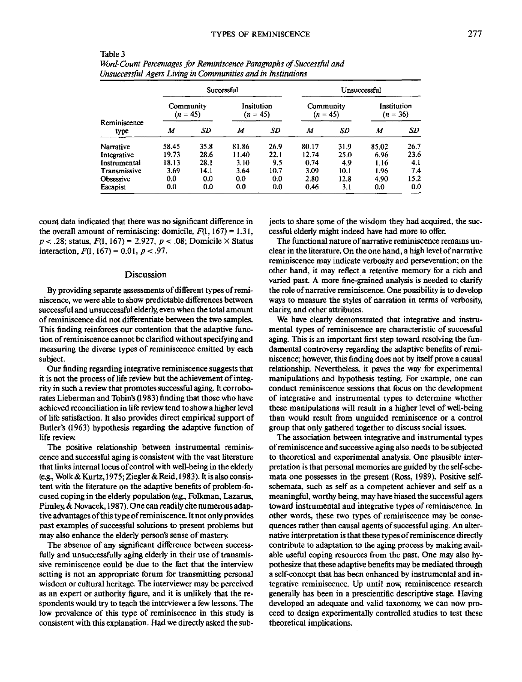| Reminiscence<br>type | Successful              |           |                            | Unsuccessful |                           |           |                             |      |
|----------------------|-------------------------|-----------|----------------------------|--------------|---------------------------|-----------|-----------------------------|------|
|                      | Community<br>$(n = 45)$ |           | Insitution<br>$= 45$<br>'n |              | Community<br>$= 45$<br>(n |           | Institution<br>$= 36$<br>(n |      |
|                      | М                       | <b>SD</b> | М                          | SD           | M                         | <b>SD</b> | M                           | SD   |
| Narrative            | 58.45                   | 35.8      | 81.86                      | 26.9         | 80.17                     | 31.9      | 85.02                       | 26.7 |
| Integrative          | 19.73                   | 28.6      | 11.40                      | 22.1         | 12.74                     | 25.0      | 6.96                        | 23.6 |
| Instrumental         | 18.13                   | 28.1      | 3.10                       | 9.5          | 0.74                      | 4.9       | 1.16                        | 4,1  |
| Transmissive         | 3.69                    | 14.1      | 3.64                       | 10.7         | 3.09                      | 10.1      | 1.96                        | 7.4  |
| Obsessive            | 0.0                     | 0.0       | 0.0                        | 0.0          | 2.80                      | 12.8      | 4.90                        | 15.2 |
| Escapist             | 0.0                     | 0.0       | 0.0                        | 0.0          | 0.46                      | 3.1       | 0.0                         | 0.0  |

Table 3 *Word-Count Percentages for Reminiscence Paragraphs of Successful and Unsuccessful Agers Living in Communities and in Institutions*

count data indicated that there was no significant difference in the overall amount of reminiscing: domicile,  $F(1, 167) = 1.31$ , *p <* .28; status, *F(l,* 167) = 2.927, *p <* .08; Domicile X Status interaction, *F(\,* 167) = 0.01, *p <* .97.

#### Discussion

By providing separate assessments of different types of reminiscence, we were able to show predictable differences between successful and unsuccessful elderly, even when the total amount of reminiscence did not differentiate between the two samples. This finding reinforces our contention that the adaptive function of reminiscence cannot be clarified without specifying and measuring the diverse types of reminiscence emitted by each subject.

Our finding regarding integrative reminiscence suggests that it is not the process of life review but the achievement of integrity in such a review that promotes successful aging. It corroborates Lieberman and Tobin's (1983) finding that those who have achieved reconciliation in life review tend to show a higher level of life satisfaction. It also provides direct empirical support of Butler's (1963) hypothesis regarding the adaptive function of life review.

The positive relationship between instrumental reminiscence and successful aging is consistent with the vast literature that links internal locus of control with well-being in the elderly (e.g., Wolk&Kurtz,1975;Ziegler&Reid, 1983). It is also consistent with the literature on the adaptive benefits of problem-focused coping in the elderly population (e.g, Folkman, Lazarus, Pimley, & Novacek, 1987). One can readily cite numerous adaptive advantages of this type of reminiscence. It not only provides past examples of successful solutions to present problems but may also enhance the elderly person's sense of mastery.

The absence of any significant difference between successfully and unsuccessfully aging elderly in their use of transmissive reminiscence could be due to the fact that the interview setting is not an appropriate forum for transmitting personal wisdom or cultural heritage. The interviewer may be perceived as an expert or authority figure, and it is unlikely that the respondents would try to teach the interviewer a few lessons. The low prevalence of this type of reminiscence in this study is consistent with this explanation. Had we directly asked the subjects to share some of the wisdom they had acquired, the successful elderly might indeed have had more to offer.

The functional nature of narrative reminiscence remains unclear in the literature. On the one hand, a high level of narrative reminiscence may indicate verbosity and perseveration; on the other hand, it may reflect a retentive memory for a rich and varied past. A more fine-grained analysis is needed to clarify the role of narrative reminiscence. One possibility is to develop ways to measure the styles of narration in terms of verbosity, clarity, and other attributes.

We have clearly demonstrated that integrative and instrumental types of reminiscence are characteristic of successful aging. This is an important first step toward resolving the fundamental controversy regarding the adaptive benefits of reminiscence; however, this finding does not by itself prove a causal relationship. Nevertheless, it paves the way for experimental manipulations and hypothesis testing. For example, one can conduct reminiscence sessions that focus on the development of integrative and instrumental types to determine whether these manipulations will result in a higher level of well-being than would result from unguided reminiscence or a control group that only gathered together to discuss social issues.

The association between integrative and instrumental types of reminiscence and successive aging also needs to be subjected to theoretical and experimental analysis. One plausible interpretation is that personal memories are guided by the self-schemata one possesses in the present (Ross, 1989). Positive selfschemata, such as self as a competent achiever and self as a meaningful, worthy being, may have biased the successful agers toward instrumental and integrative types of reminiscence. In other words, these two types of reminiscence may be consequences rather than causal agents of successful aging. An alternative interpretation is that these types of reminiscence directly contribute to adaptation to the aging process by making available useful coping resources from the past. One may also hypothesize that these adaptive benefits may be mediated through a self-concept that has been enhanced by instrumental and integrative reminiscence. Up until now, reminiscence research generally has been in a prescientific descriptive stage. Having developed an adequate and valid taxonomy, we can now proceed to design experimentally controlled studies to test these theoretical implications.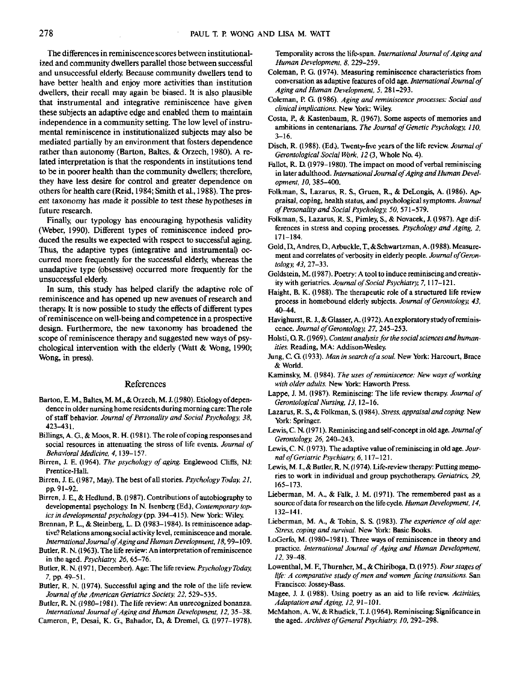The differences in reminiscence scores between institutionalized and community dwellers parallel those between successful and unsuccessful elderly. Because community dwellers tend to have better health and enjoy more activities than institution dwellers, their recall may again be biased. It is also plausible that instrumental and integrative reminiscence have given these subjects an adaptive edge and enabled them to maintain independence in a community setting. The low level of instrumental reminiscence in institutionalized subjects may also be mediated partially by an environment that fosters dependence rather than autonomy (Barton, Baltes, & Orzech, 1980). A related interpretation is that the respondents in institutions tend to be in poorer health than the community dwellers; therefore, they have less desire for control and greater dependence on others for health care (Reid, 1984; Smith et al, 1988). The present taxonomy has made it possible to test these hypotheses in future research.

Finally, our typology has encouraging hypothesis validity (Weber, 1990). Different types of reminiscence indeed produced the results we expected with respect to successful aging. Thus, the adaptive types (integrative and instrumental) occurred more frequently for the successful elderly, whereas the unadaptive type (obsessive) occurred more frequently for the unsuccessful elderly.

In sum, this study has helped clarify the adaptive role of reminiscence and has opened up new avenues of research and therapy It is now possible to study the effects of different types of reminiscence on well-being and competence in a prospective design. Furthermore, the new taxonomy has broadened the scope of reminiscence therapy and suggested new ways of psychological intervention with the elderly (Watt & Wong, 1990; Wong, in press).

## References

- Barton, E. M, Baltes, M. M.,& Orzech, M. J. (1980). Etiologyofdependence in older nursing home residents during morning care: The role of staff behavior. *Journal of Personality and Social Psychology, 38,* 423-431.
- Billings, A. G., & Moos, R. H. (1981). The role of coping responses and social resources in attenuating the stress of life events. *Journal of Behavioral Medicine, 4,*139-157.
- Birren, J. E. (1964). *The psychology of aging.* Englewood Cliffs, NJ: Prentice-Hall.
- Birren, J. E. (1987, May). The best of all stories. *Psychology Today, 21,* pp. 91-92.
- Birren, J. E., & Hedlund, B. (1987). Contributions of autobiography to developmental psychology. In N. Isenberg *(Ed), Contemporary topics in developmental psychology* (pp. 394-415). New York: Wiley.
- Brennan, P. L., & Steinberg, L. D. (1983-1984). Is reminiscence adaptive? Relations among social activity level, reminiscence and morale. *International Journal of Aging and Human Development, 18,*99-109.
- Butler, R. N. (1963). The life review: An interpretation of reminiscence in the aged. *Psychiatry, 26,* 65-76.
- Butler, R. N. (1971, December). Age: The life review. *Psychology Today,* 7, pp. 49-51.
- Butler, R. N. (1974). Successful aging and the role of the life review. *Journal of the American Geriatrics Society, 22,* 529-535.
- Butler, R. N. (1980-1981). The life review: An unrecognized bonanza. *International Journal of Aging and Human Development, 12,* 35-38.
- Cameron, E, Desai, K. G, Bahador, D., & Dremel, G. (1977-1978).

Temporality across the life-span. *International Journal of Aging and Human Development, 8,* 229-259.

- Coleman. P. G. (1974). Measuring reminiscence characteristics from conversation as adaptive features of old age. *International Journal of Aging and Human Development, 5,* 281-293.
- Coleman, P. G. (1986). *Aging and reminiscence processes: Social and clinical implications.* New York: Wiley.
- Costa, P., & Kastenbaum, R. (1967). Some aspects of memories and ambitions in centenarians. *The Journal of Genetic Psychology, 110,*  $3 - 16.$
- Disch, R. (1988). (Ed.). Twenty-five years of the life review. *Journal of Gerontological Social Work, 12* (3, Whole No. 4).
- Fallot, R. D. (1979-1980). The impact on mood of verbal reminiscing in later adulthood. *International Journal of Aging and Human Development, 10,* 385-400.
- Folkman, S., Lazarus, R. S., Gruen, R., & DeLongis, A. (1986). Appraisal, coping, health status, and psychological symptoms. *Journal of Personality and Social Psychology, 50.* 571-579.
- Folkman, S, Lazarus, R. S., Pimley, S, & Novacek, J. (1987). Age differences in stress and coping processes. *Psychology and Aging, 2,* 171-184.
- Gold, D., Andres, D., Arbuckle, T., & Schwartzman, A. (1988). Measurement and correlates of verbosity in elderly people. *Journal of Gerontology, 43,* 27-33.
- Goldstein, M. (1987). Poetry: A tool to induce reminiscing and creativity with geriatrics. *Journal of Social Psychiatry,* 7,117-121.
- Haight, B. K. (1988). The therapeutic role of a structured life review process in homebound elderly subjects. *Journal of Gerontology, 43,* 40-44.
- Havighurst, R. J., & Glasser, A. (1972). An exploratory study of reminiscence. *Journal of Gerontology, 27,* 245-253.
- Holsti, O. R. (1969). *Content analysis for the social sciences and humanities.* Reading, MA: Addison-Wesley.
- Jung, C. G. (1933). *Man in search of a soul.* New York: Harcourt, Brace & World.
- Kaminsky, M. (1984). *The uses of reminiscence: New ways of working with older adults.* New York: Haworth Press.
- Lappe, J. M. (1987). Reminiscing: The life review therapy. *Journal of Gerontological Nursing, 13,*12-16.
- Lazarus, R. S., & Folkman, S. (1984). *Stress, appraisal and coping.* New York: Springer.
- Lewis, C. N. (1971). Reminiscing and self-concept in old age. *Journal of Gerontology, 26,* 240-243.
- Lewis, C. N. (1973). The adaptive value of reminiscing in old age. *Journal of Geriatric Psychiatry, 6,*117-121.
- Lewis, M. L, & Butler, R. N. (1974). Life-review therapy: Putting memories to work in individual and group psychotherapy. *Geriatrics, 29,* 165-173.
- Lieberman, M. A., & Falk, J. M. (1971). The remembered past as a source of data for research on the life cycle. *Human Development, 14,* 132-141.
- Lieberman, M. A., & Tobin, S. S. (1983). *The experience of old age: Stress, coping and survival.* New York: Basic Books.
- LoGerfo, M. (1980-1981). Three ways of reminiscence in theory and practice. *International Journal of Aging and Human Development, 12*, 39–48.
- Lowenthal, M. F., Thurnher, M, &Chiriboga, D. (1975). *Four stages of life: A comparative study of men and women facing transitions.* San Francisco: Jossey-Bass.
- Magee, J. J. (1988). Using poetry as an aid to life review. *Activities, Adaptation and Aging. 12,* 91-101.
- McMahon, A. W, & Rhudick, T. J. (1964). Reminiscing: Significance in the aged. *Archives of General Psychiatry, 10.*292-298.